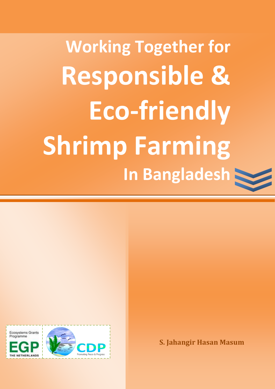**Working Together for Responsible & Eco-friendly Shrimp Farming In Bangladesh**



**S. Jahangir Hasan Masum**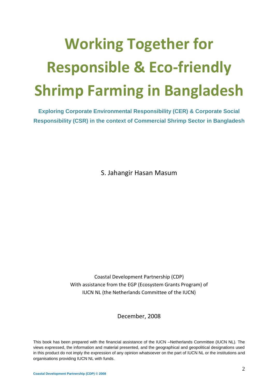# **Working Together for Responsible & Eco-friendly Shrimp Farming in Bangladesh**

**Exploring Corporate Environmental Responsibility (CER) & Corporate Social Responsibility (CSR) in the context of Commercial Shrimp Sector in Bangladesh**

S. Jahangir Hasan Masum

Coastal Development Partnership (CDP) With assistance from the EGP (Ecosystem Grants Program) of IUCN NL (the Netherlands Committee of the IUCN)

December, 2008

This book has been prepared with the financial assistance of the IUCN –Netherlands Committee (IUCN NL). The views expressed, the information and material presented, and the geographical and geopolitical designations used in this product do not imply the expression of any opinion whatsoever on the part of IUCN NL or the institutions and organisations providing IUCN NL with funds.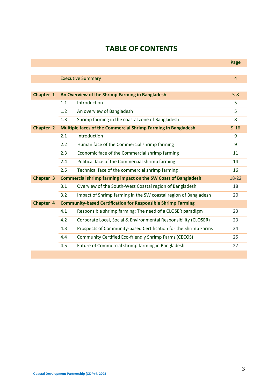# **TABLE OF CONTENTS**

|           |     |                                                                       | Page           |
|-----------|-----|-----------------------------------------------------------------------|----------------|
|           |     |                                                                       |                |
|           |     | <b>Executive Summary</b>                                              | $\overline{4}$ |
|           |     |                                                                       |                |
| Chapter 1 |     | An Overview of the Shrimp Farming in Bangladesh                       | $5-8$          |
|           | 1.1 | Introduction                                                          | 5              |
|           | 1.2 | An overview of Bangladesh                                             | 5              |
|           | 1.3 | Shrimp farming in the coastal zone of Bangladesh                      | 8              |
| Chapter 2 |     | Multiple faces of the Commercial Shrimp Farming in Bangladesh         | $9 - 16$       |
|           | 2.1 | Introduction                                                          | 9              |
|           | 2.2 | Human face of the Commercial shrimp farming                           | 9              |
|           | 2.3 | Economic face of the Commercial shrimp farming                        | 11             |
|           | 2.4 | Political face of the Commercial shrimp farming                       | 14             |
|           | 2.5 | Technical face of the commercial shrimp farming                       | 16             |
| Chapter 3 |     | <b>Commercial shrimp farming impact on the SW Coast of Bangladesh</b> | 18-22          |
|           | 3.1 | Overview of the South-West Coastal region of Bangladesh               | 18             |
|           | 3.2 | Impact of Shrimp farming in the SW coastal region of Bangladesh       | 20             |
| Chapter 4 |     | <b>Community-based Certification for Responsible Shrimp Farming</b>   |                |
|           | 4.1 | Responsible shrimp farming: The need of a CLOSER paradigm             | 23             |
|           | 4.2 | Corporate Local, Social & Environmental Responsibility (CLOSER)       | 23             |
|           | 4.3 | Prospects of Community-based Certification for the Shrimp Farms       | 24             |
|           | 4.4 | Community Certified Eco-friendly Shrimp Farms (CECOS)                 | 25             |
|           | 4.5 | Future of Commercial shrimp farming in Bangladesh                     | 27             |
|           |     |                                                                       |                |

**College**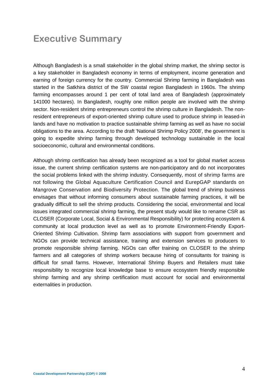# **Executive Summary**

Although Bangladesh is a small stakeholder in the global shrimp market, the shrimp sector is a key stakeholder in Bangladesh economy in terms of employment, income generation and earning of foreign currency for the country. Commercial Shrimp farming in Bangladesh was started in the Satkhira district of the SW coastal region Bangladesh in 1960s. The shrimp farming encompasses around 1 per cent of total land area of Bangladesh (approximately 141000 hectares). In Bangladesh, roughly one million people are involved with the shrimp sector. Non-resident shrimp entrepreneurs control the shrimp culture in Bangladesh. The nonresident entrepreneurs of export-oriented shrimp culture used to produce shrimp in leased-in lands and have no motivation to practice sustainable shrimp farming as well as have no social obligations to the area. According to the draft 'National Shrimp Policy 2008', the government is going to expedite shrimp farming through developed technology sustainable in the local socioeconomic, cultural and environmental conditions.

Although shrimp certification has already been recognized as a tool for global market access issue, the current shrimp certification systems are non-participatory and do not incorporates the social problems linked with the shrimp industry. Consequently, most of shrimp farms are not following the Global Aquaculture Certification Council and EurepGAP standards on Mangrove Conservation and Biodiversity Protection. The global trend of shrimp business envisages that without informing consumers about sustainable farming practices, it will be gradually difficult to sell the shrimp products. Considering the social, environmental and local issues integrated commercial shrimp farming, the present study would like to rename CSR as CLOSER (Corporate Local, Social & Environmental Responsibility) for protecting ecosystem & community at local production level as well as to promote Environment-Friendly Export-Oriented Shrimp Cultivation. Shrimp farm associations with support from government and NGOs can provide technical assistance, training and extension services to producers to promote responsible shrimp farming. NGOs can offer training on CLOSER to the shrimp farmers and all categories of shrimp workers because hiring of consultants for training is difficult for small farms. However, International Shrimp Buyers and Retailers must take responsibility to recognize local knowledge base to ensure ecosystem friendly responsible shrimp farming and any shrimp certification must account for social and environmental externalities in production.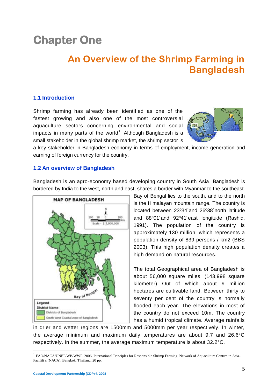# **Chapter One**

# **An Overview of the Shrimp Farming in Bangladesh**

# **1.1 Introduction**

Shrimp farming has already been identified as one of the fastest growing and also one of the most controversial aquaculture sectors concerning environmental and social impacts in many parts of the world<sup>1</sup>. Although Bangladesh is a small stakeholder in the global shrimp market, the shrimp sector is



a key stakeholder in Bangladesh economy in terms of employment, income generation and earning of foreign currency for the country.

### **1.2 An overview of Bangladesh**

Bangladesh is an agro-economy based developing country in South Asia. Bangladesh is bordered by India to the west, north and east, shares a border with Myanmar to the southeast.



Bay of Bengal lies to the south, and to the north is the Himalayan mountain range. The country is located between 23º34´and 26º38´north latitude and 88º01´and 92º41´east longitude (Rashid, 1991). The population of the country is approximately 130 million, which represents a population density of 839 persons / km2 (BBS 2003). This high population density creates a high demand on natural resources.

The total Geographical area of Bangladesh is about 56,000 square miles. (143,998 square kilometer) Out of which about 9 million hectares are cultivable land. Between thirty to seventy per cent of the country is normally flooded each year. The elevations in most of the country do not exceed 10m. The country has a humid tropical climate. Average rainfalls

in drier and wetter regions are 1500mm and 5000mm per year respectively. In winter, the average minimum and maximum daily temperatures are about 9.7 and 26.6°C respectively. In the summer, the average maximum temperature is about 32.2°C.

<sup>&</sup>lt;sup>1</sup> FAO/NACA/UNEP/WB/WWF. 2006. International Principles for Responsible Shrimp Farming. Network of Aquaculture Centres in Asia-Pacififi c (NACA). Bangkok, Thailand. 20 pp.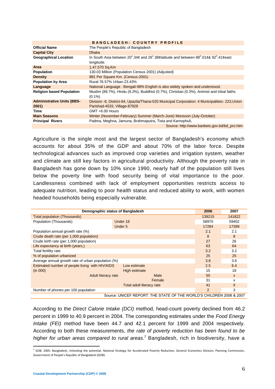#### **B A N G L A D E S H : C O U N T R Y P R O F I L E**

| <b>Official Name</b>              | The People's Republic of Bangladesh                                                                                                         |
|-----------------------------------|---------------------------------------------------------------------------------------------------------------------------------------------|
| <b>Capital City</b>               | <b>Dhaka</b>                                                                                                                                |
| <b>Geographical Location</b>      | In South Asia between $20^{\circ}$ .34¢ and $26^{\circ}$ .38¢latitude and between $88^{\circ}$ .01¢& 92 <sup>°</sup> .41¢east<br>longitude. |
| Area                              | 1,47,570 Sq.Km                                                                                                                              |
| Population                        | 130.03 Million (Population Census 2001) (Adjusted)                                                                                          |
| <b>Density</b>                    | 881 Per Square Km. (Census-2001)                                                                                                            |
| <b>Population by Area</b>         | Rural-76.57% Urban-23.43%                                                                                                                   |
| Language                          | National Language: Bengali-98% English is also widely spoken and understood.                                                                |
| <b>Religion based Population</b>  | Muslim (89.7%), Hindu (9.2%), Buddhist (0.7%), Christian (0.3%), Animist and tribal faiths<br>$(0.1\%)$                                     |
| <b>Administrative Units (BBS-</b> | Division -6, District-64, Upazila/Thana-520 Municipal Corporation: 4 Municipalities-223, Union                                              |
| 2001)                             | Parishad-4533, Village-87928                                                                                                                |
| Time                              | GMT +6.00 Hours                                                                                                                             |
| <b>Main Seasons</b>               | Winter (November-February) Summer (March-June) Monsoon (July-October)                                                                       |
| <b>Principal Rivers</b>           | Padma, Meghna, Jamuna, Brahmaputra, Tista and Karnophuli,                                                                                   |
|                                   | Source: http://www.banbeis.gov.bd/bd_pro.htm                                                                                                |

Agriculture is the single most and the largest sector of Bangladesh's economy which accounts for about 35% of the GDP and about 70% of the labor force. Despite technological advances such as improved crop varieties and irrigation system, weather and climate are still key factors in agricultural productivity. Although the poverty rate in Bangladesh has gone down by 10% since 1990, nearly half of the population still lives below the poverty line with food security being of vital importance to the poor. Landlessness combined with lack of employment opportunities restricts access to adequate nutrition, leading to poor health status and reduced ability to work, with women headed households being especially vulnerable.

| Demographic status of Bangladesh                                | 2006                                                                 | 2007         |       |
|-----------------------------------------------------------------|----------------------------------------------------------------------|--------------|-------|
| Total population (Thousands)                                    | 139215                                                               | 141822       |       |
| Population (Thousands)                                          | Under 18                                                             | 58970        | 59402 |
|                                                                 | Under 5                                                              | 17284        | 17399 |
| Population annual growth rate (%)                               |                                                                      | 2.1          | 2.1   |
| Crude death rate (per 1,000 population)                         |                                                                      | 8            | 8     |
| Crude birth rate (per 1,000 population)                         |                                                                      | 27           | 26    |
| Life expectancy at birth (years.)                               |                                                                      | 63           | 64    |
| Total fertility rate                                            |                                                                      |              | 3.2   |
| % of population urbanized                                       | 25                                                                   | 25           |       |
| Average annual growth rate of urban population (%)              | 3.6                                                                  | 3.6          |       |
| Estimated number of people living with HIV/AIDS<br>Low estimate |                                                                      |              | 6.4   |
| (in 000)                                                        | High estimate                                                        | 15           | 18    |
| Adult literacy rate                                             | 50                                                                   | $\mathsf{x}$ |       |
|                                                                 | Female                                                               | 31           | x     |
|                                                                 | 41                                                                   | X            |       |
| Number of phones per 100 population                             | 2                                                                    | 3            |       |
|                                                                 | Source: UNICEF REPORT: THE STATE OF THE WORLD'S CHILDREN 2006 & 2007 |              |       |

According to the *Direct Calorie Intake (DCI)* method, head-count poverty declined from 46.2 percent in 1999 to 40.9 percent in 2004. The corresponding estimates under the *Food Energy Intake (FEI)* method have been 44.7 and 42.1 percent for 1999 and 2004 respectively. According to both these measurements, *the rate of poverty reduction has been found to be higher for urban areas compared to rural areas.*<sup>2</sup> Bangladesh, rich in biodiversity, have a

 2 GOB, 2005: Bangladesh, Unlocking the potential, National Strategy for Accelerated Poverty Reduction, General Economics Division, Planning Commission, Government of People's Republic of Bangladesh (GOB).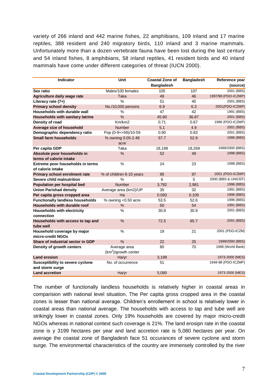variety of 266 inland and 442 marine fishes, 22 amphibians, 109 inland and 17 marine reptiles, 388 resident and 240 migratory birds, 110 inland and 3 marine mammals. Unfortunately more than a dozen vertebrate fauna have been lost during the last century and 54 inland fishes, 8 amphibians, 58 inland reptiles, 41 resident birds and 40 inland mammals have come under different categories of threat (IUCN 2000).

| <b>Indicator</b>                                 | Unit                     | <b>Coastal Zone of</b> | <b>Bangladesh</b> | Reference year      |
|--------------------------------------------------|--------------------------|------------------------|-------------------|---------------------|
|                                                  |                          | <b>Bangladesh</b>      |                   | (source)            |
| Sex ratio                                        | Males/100 females        | 105                    | 107               | 2001 (BBS)          |
| Agriculture daily wage rate                      | <b>Taka</b>              | 49                     | 46                | 1997/98 (PDO-ICZMP) |
| Literacy rate (7+)                               | $\frac{0}{0}$            | 51                     | 45                | 2001 (BBS)          |
| <b>Primary school density</b>                    | No./10,000 persons       | 6.9                    | 6.3               | 2001(PDO-ICZMP)     |
| Households with durable wall                     | %                        | 47                     | 42                | 1991 (BBS)          |
| <b>Households with sanitary latrine</b>          | $\%$                     | 45.60                  | 36.87             | 2001 (BBS)          |
| Density of road                                  | Km/km2                   | 0.71                   | 0.67              | 1996 (PDO-ICZMP)    |
| Average size of household                        | <b>Number</b>            | 5.1                    | 4.9               | 2001 (BBS)          |
| Demographic dependency ratio                     | Pop (0-9+>59)/10-59      | 0.90                   | 0.83              | 2001 (BBS)          |
| <b>Small farm households</b>                     | % owning 0.05-2.49       | 57.7                   | 52.9              | 1996 (BBS)          |
|                                                  | acre                     |                        |                   |                     |
| Per capita GDP                                   | Taka                     | 18,198                 | 18,269            | 1999/2000 (BBS)     |
| Absolute poor households in                      | %                        | 52                     | 49                | 1998 (BBS)          |
| terms of calorie intake                          |                          |                        |                   |                     |
| Extreme poor households in terms                 | %                        | 24                     | 23                | 1998 (BBS)          |
| of calorie intake                                |                          |                        |                   |                     |
| Primary school enrolment rate                    | % of children 6-10 years | 95                     | 97                | 2001 (PDO-ICZMP)    |
| Severe child malnutrition                        | %                        | 6                      | 5                 | 2000 (BBS & UNICEF) |
| <b>Population per hospital bed</b>               | <b>Number</b>            | 3,782                  | 2,981             | 1996 (BBS)          |
| <b>Union Parishad density</b>                    | Average area (km2)/UP    | 35                     | 32                | 1991 (BBS)          |
| Per capita gross cropped area                    | Ha                       | 0.093                  | 0.109             | 1996 (BBS)          |
| <b>Functionally landless households</b>          | % owning <0.50 acre      | 53.5                   | 52.6              | 1996 (BBS)          |
| Households with durable roof                     | $\%$                     | 50                     | 54                | 1991 (BBS)          |
| <b>Households with electricity</b><br>connection | $\%$                     | 30.8                   | 30.9              | 2001 (BBS)          |
| Households with access to tap and                | $\frac{0}{0}$            | 72.5                   | 85.7              | 2001 (BBS)          |
| tube well                                        |                          |                        |                   |                     |
| Household coverage by major<br>micro-credit NGOs | $\%$                     | 19                     | 21                | 2001 (PDO-ICZM)     |
| Share of industrial sector in GDP                | %                        | 22                     | 25                | 1999/2000 (BBS)     |
| Density of growth centers                        | Average area             | 80                     | 70                | 1996 (World Bank)   |
|                                                  | $(km^2)/$ growth center  |                        |                   |                     |
| <b>Land erosion</b>                              | Ha/yr                    | 3,199                  |                   | 1973-2000 (MES)     |
| <b>Susceptibility to severe cyclone</b>          | No. of occurrence        | 51                     |                   | 1948-98 (PDO-ICZMP) |
| and storm surge                                  |                          |                        |                   |                     |
| <b>Land accretion</b>                            | Ha/yr                    | 5,080                  |                   | 1973-2000 (MES)     |

The number of functionally landless households is relatively higher in coastal areas in comparision with national level situation. The Per capita gross cropped area in the coastal zones is lesser than national average. Children's enrollement in school is relatively lower in coastal areas than national average. The households with access to tap and tube well are strikingly lower in coastal zones. Only 19% households are covered by major micro-credit NGOs whereas in national context such coverage is 21%. The land erosipn rate in the coastal zone is y 3199 hectares per year and land accretion rate is 5,080 hectares per year. On average the coastal zone of Bangladesh face 51 occurances of severe cyclone and storm surge. The environmental characteristics of the country are immensely controlled by the river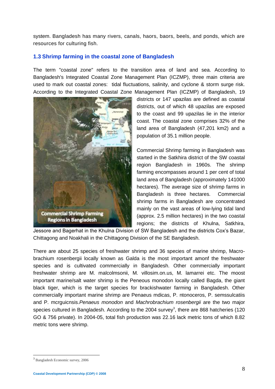system. Bangladesh has many rivers, canals, haors, baors, beels, and ponds, which are resources for culturing fish.

## **1.3 Shrimp farming in the coastal zone of Bangladesh**

The term "coastal zone" refers to the transition area of land and sea. According to Bangladesh's Integrated Coastal Zone Management Plan (ICZMP), three main criteria are used to mark out coastal zones: tidal fluctuations, salinity, and cyclone & storm surge risk. According to the Integrated Coastal Zone Management Plan (ICZMP) of Bangladesh, 19



districts or 147 upazilas are defined as coastal districts, out of which 48 upazilas are exposed to the coast and 99 upazilas lie in the interior coast. The coastal zone comprises 32% of the land area of Bangladesh (47,201 km2) and a population of 35.1 million people.

Commercial Shrimp farming in Bangladesh was started in the Satkhira district of the SW coastal region Bangladesh in 1960s. The shrimp farming encompasses around 1 per cent of total land area of Bangladesh (approximately 141000 hectares). The average size of shrimp farms in Bangladesh is three hectares. Commercial shrimp farms in Bangladesh are concentrated mainly on the vast areas of low-lying tidal land (approx. 2.5 million hectares) in the two coastal regions; the districts of Khulna, Satkhira,

Jessore and Bagerhat in the Khulna Division of SW Bangladesh and the districts Cox's Bazar, Chittagong and Noakhali in the Chittagong Division of the SE Bangladesh.

There are about 25 species of freshwater shrimp and 36 species of marine shrimp, Macrobrachium rosenbergii locally known as Galda is the most important amonf the freshwater species and is cultivated commercially in Bangladesh. Other commercially important freshwater shrimp are M. malcolmsonii, M. villosim.on.us, M. lamarrei etc. The moost important marine/salt water shrimp is the Peneous monodon locally called Bagda, the giant black tiger, which is the target species for brackishwater farming in Bangladesh. Other commercially important marine shrimp are Penaeus mdicas, P. ntonoceros, P. semssulcatiis and P. mcrguicnsis.*Penaeus monodon* and *Machrobrachium rosenbergii* are the two major species cultured in Bangladesh. According to the 2004 survey<sup>3</sup>, there are 868 hatcheries (120 GO & 756 private). In 2004-05, total fish production was 22.16 lack metric tons of which 8.82 metric tons were shrimp.

1

<sup>3</sup> Bangladesh Economic survey, 2006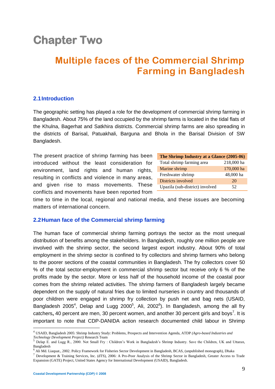# **Chapter Two**

# **Multiple faces of the Commercial Shrimp Farming in Bangladesh**

### **2.1Introduction**

The geographic setting has played a role for the development of commercial shrimp farming in Bangladesh. About 75% of the land occupied by the shrimp farms is located in the tidal flats of the Khulna, Bagerhat and Satkhira districts. Commercial shrimp farms are also spreading in the districts of Barisal, Patuakhali, Barguna and Bhola in the Barisal Division of SW Bangladesh.

The present practice of shrimp farming has been introduced without the least consideration for environment, land rights and human rights, resulting in conflicts and violence in many areas, and given rise to mass movements. These conflicts and movements have been reported from

| The Shrimp Industry at a Glance (2005-06) |            |  |  |  |  |
|-------------------------------------------|------------|--|--|--|--|
| Total shrimp farming area                 | 218,000 ha |  |  |  |  |
| Marine shrimp                             | 170,000 ha |  |  |  |  |
| Freshwater shrimp                         | 48,000 ha  |  |  |  |  |
| Districts involved                        | 20         |  |  |  |  |
| Upazila (sub-district) involved           | 52         |  |  |  |  |

time to time in the local, regional and national media, and these issues are becoming matters of international concern.

### **2.2Human face of the Commercial shrimp farming**

The human face of commercial shrimp farming portrays the sector as the most unequal distribution of benefits among the stakeholders. In Bangladesh, roughly one million people are involved with the shrimp sector, the second largest export industry. About 90% of total employment in the shrimp sector is confined to fry collectors and shrimp farmers who belong to the poorer sections of the coastal communities in Bangladesh. The fry collectors cover 50 % of the total sector-employment in commercial shrimp sector but receive only 6 % of the profits made by the sector. More or less half of the household income of the coastal poor comes from the shrimp related activities. The shrimp farmers of Bangladesh largely became dependent on the supply of natural fries due to limited nurseries in country and thousands of poor children were engaged in shrimp fry collection by push net and bag nets (USAID, Bangladesh 2005<sup>4</sup>, Delap and Lugg 2000<sup>5</sup>, Ali, 2002<sup>6</sup>). In Bangladesh, among the all fry catchers, 40 percent are men, 30 percent women, and another 30 percent girls and boys<sup>7</sup>. It is important to note that CDP-DANIDA action research documented child labour in Shrimp

<sup>4</sup> USAID, Bangladesh 2005: Shrimp Industry Study: Problems, Prospects and Intervention Agenda, ATDP *(Agro-based Industries and* 

*Technology Development Project)* Research Team <sup>5</sup> Delap E. and Lugg R., 2000. Not Small Fry : Children's Work in Bangladesh's Shrimp Industry. Save the Children, UK and Uttaran, Bangladesh

<sup>6</sup> Ali Md. Liaquat., 2002. Policy Framework for Fisheries Sector Development in Bangladesh, BCAS, (unpublished monograph), Dhaka

<sup>7</sup> Development & Training Services, Inc. (dTS), 2006: A Pro-Poor Analysis of the Shrimp Sector in Bangladesh, Greater Access to Trade Expansion (GATE) Project, United States Agency for International Development (USAID), Bangladesh.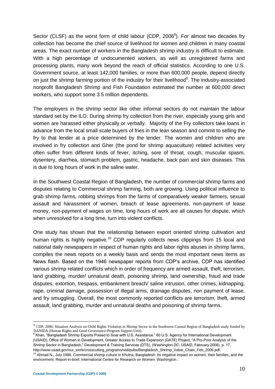Sector (CLSF) as the worst form of child labour (CDP, 2006 $^8$ ). For almost two decades fry collection has become the chief source of livelihood for women and children in many coastal areas. The exact number of workers in the Bangladesh shrimp industry is difficult to estimate. With a high percentage of undocumented workers, as well as unregistered farms and processing plants, many work beyond the reach of official statistics. According to one U.S. Government source, at least 142,000 families, or more than 600,000 people, depend directly on just the shrimp farming portion of the industry for their livelihood<sup>9</sup>. The industry-associated nonprofit Bangladesh Shrimp and Fish Foundation estimated the number at 600,000 direct workers, who support some 3.5 million dependents.

The employers in the shrimp sector like other informal sectors do not maintain the labour standard set by the ILO. During shrimp fry collection from the river, especially young girls and women are harassed either physically or verbally. Majority of the Fry collectors take loans in advance from the local small scale buyers of fries in the lean season and commit to selling the fry to that lender at a price determined by the lender. The women and children who are involved in fry collection and Gher (the pond for shrimp aquaculture) related activities very often suffer from different kinds of fever, itching, sore of throat, cough, muscular spasm, dysentery, diarrhea, stomach problem, gastric, headache, back pain and skin diseases. This is due to long hours of work in the saline water.

In the Southwest Coastal Region of Bangladesh, the number of commercial shrimp farms and disputes relating to Commercial shrimp farming, both are growing. Using political influence to grab shrimp farms, robbing shrimps from the farms of comparatively weaker farmers, sexual assault and harassment of women, breach of lease agreements, non-payment of lease money, non-payment of wages on time, long hours of work are all causes for dispute, which when unresolved for a long time, turn into violent conflicts.

One study has shown that the relationship between export oriented shrimp cultivation and human rights is highly negative.<sup>10</sup> CDP regularly collects news clippings from 15 local and national daily newspapers in respect of human rights and labor rights abuses in shrimp farms, compiles the news reports on a weekly basis and sends the most important news items as News flash. Based on the 1946 newspaper reports from CDP's archive, CDP has identified various shrimp related conflicts which in order of frequency are armed assault, theft, terrorism, land grabbing, murder/ unnatural death, poisoning shrimp, land ownership, fraud and trade disputes, extortion, trespass, embankment breach/ saline intrusion, other crimes, kidnapping, rape, criminal damage, possession of illegal arms, drainage disputes, non payment of lease, and fry smuggling. Overall, the most commonly reported conflicts are terrorism, theft, armed assault, land grabbing, murder and unnatural deaths and poisoning of shrimp farms.

1

<sup>&</sup>lt;sup>8</sup> CDP, 2006: Situation Analysis on Child Rights Violation in Shrimp Sector in the Southwest Coastal Region of Bangladesh study funded by DANIDA (Human Rights and Good Governance-Program Support Unit).<br><sup>9</sup> Khan, "Bangladesh Shrimp Exports Poised to Soar with U.S. Assistance." 60 U.S. Agency for International Development

<sup>(</sup>USAID), Office of Women in Development, Greater Access to Trade Expansion (GATE) Project, "A Pro-Poor Analysis of the Shrimp Sector in Bangladesh," Development & Training Services (DTS), (Washington DC: USAID, February 2006), p. 17, http://www.usaid.gov/our\_work/crosscutting\_programs/wid/pubs/Bangladesh\_Shrimp\_Value\_Chain\_Feb\_2006.pdf.

<sup>&</sup>lt;sup>10</sup> Ahmad N., July 1996. Commercial shrimp culture in Khulna, Bangladesh: Its negative impact on women, their families, and the environment. Report-in-brief. International Centre for Research on Women. Washington .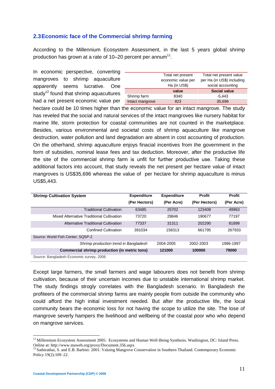### **2.3Economic face of the Commercial shrimp farming**

According to the Millennium Ecosystem Assessment, in the last 5 years global shrimp production has grown at a rate of 10–20 percent per annum $11$ .

In economic perspective, converting mangroves to shrimp aquaculture apparently seems lucrative. One study<sup>12</sup> found that shrimp aquacultures had a net present economic value per

|                 | Total net present  | Total net present value    |
|-----------------|--------------------|----------------------------|
|                 | economic value per | per Ha (in US\$) including |
|                 | Ha (in US\$)       | social accounting          |
|                 | value              | <b>Social value</b>        |
| Shrimp farm     | 8340               | $-5.443$                   |
| Intact mangrove | 823                | 35,696                     |

hectare could be 10 times higher than the economic value for an intact mangrove. The study has reveled that the social and natural services of the intact mangroves like nursery habitat for marine life, storm protection for coastal communities are not counted in the marketplace. Besides, various environmental and societal costs of shrimp aquaculture like mangrove destruction, water pollution and land degradation are absent in cost accounting of production. On the otherhand, shrimp aquaculture enjoys finacial incentives from the government in the form of subsidies, nominal lease fees and tax deduction. Moreover, after the productive life the site of the commercial shrimp farm is unfit for further productive use. Taking these additional factors into account, that study reveals the net present per hectare value of intact mangroves is US\$35,696 whereas the value of per hectare for shrimp aquaculture is minus US\$5,443.

| <b>Shrimp Cultivation System</b>              | <b>Expenditure</b> | <b>Expenditure</b> | <b>Profit</b> | <b>Profit</b> |  |  |
|-----------------------------------------------|--------------------|--------------------|---------------|---------------|--|--|
|                                               | (Per Hectors)      | (Per Acre)         | (Per Hectors) | (Per Acre)    |  |  |
| <b>Traditional Cultivation</b>                | 63485              | 25702              | 123408        | 49963         |  |  |
| Mixed Alternative Traditional Cultivation     | 73720              | 29846              | 190677        | 77197         |  |  |
| Alternative Traditional Cultivation           | 77337              | 31311              | 202290        | 81899         |  |  |
| <b>Confined Cultivation</b>                   | 391034             | 158313             | 661795        | 267933        |  |  |
| Source: World Fish Center: SQSP-2             |                    |                    |               |               |  |  |
| Shrimp production trend in Bangladesh         |                    | 2004-2005          | 2002-2003     | 1996-1997     |  |  |
| Commercial shrimp production (in metric tons) |                    | 121000             | 100000        | 79000         |  |  |
| Source: Bangladesh Economic survey, 2006      |                    |                    |               |               |  |  |

Except large farmers, the small farmers and wage labourers does not benefit from shrimp cultivation, because of their uncertain incomes due to unstable international shrimp market. The study findings strogly correlates with the Bangladesh scenario. In Bangladesh the profiteers of the commercial shrimp farms are mainly people from outside the community who could afford the high initial investment needed. But after the productive life, the local community bears the economic loss for not having the scope to utilize the site. The lose of mangrove severly hampers the livelihood and wellbeing of the coastal poor who who depend on mangrove services.

<sup>&</sup>lt;sup>11</sup> Millennium Ecosystem Assessment 2005: Ecosystems and Human Well-Being Synthesis. Washington, DC: Island Press. Online at: http://www.maweb.org/proxy/Document.356.aspx

<sup>&</sup>lt;sup>12</sup> Sathirathai, S. and E.B. Barbier. 2001: Valuing Mangrove Conservation in Southern Thailand. Contemporary Economic Policy 19(2):109–22.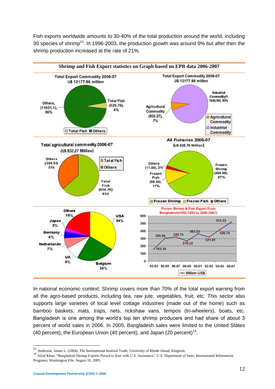Fish exports worldwide amounts to 30-40% of the total production around the world, including 30 species of shrimp<sup>13</sup>. In 1996-2003, the production growth was around 9% but after then the shrimp production increased at the rate of 21%.



In national economic context, Shrimp covers more than 70% of the total export earning from all the agro-based products, including tea, raw jute, vegetables, fruit, etc. This sector also supports large varieties of local level cottage industries (made out of the home) such as bamboo baskets, mats, traps, nets, rickshaw vans, tempos (tri-wheelers), boats, etc. Bangladesh is one among the world's top ten shrimp producers and had share of about 3 percent of world sales in 2006. In 2005, Bangladesh sales were limited to the United States (40 percent), the European Union (40 percent), and Japan (20 percent)<sup>14</sup>.

 $\overline{a}$ 

<sup>&</sup>lt;sup>13</sup> Anderson, James L. (2004), The International Seafood Trade, University of Rhode Island, Kingston.

<sup>&</sup>lt;sup>14</sup> Afzal Khan, "Bangladesh Shrimp Exports Poised to Soar with U.S. Assistance," U.S. Department of State, International Information Programs, Washington File, August 10, 2005.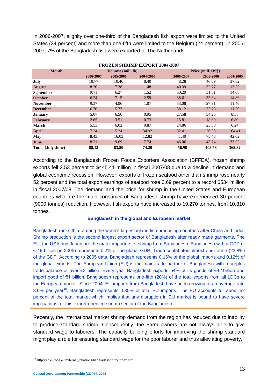In 2006-2007, slighlty over one-third of the Bangladesh fish export were limited to the United States (34 percent) and more than one-fifth were limited to the Belgium (24 percent). In 2006- 2007, 7% of the Bangladesh fish were exported to The Netherlands.

| ГКОДЕН ЭНКИЛІ ЕЖІ ОКІ 2007-2007 |           |                   |           |           |                    |           |  |
|---------------------------------|-----------|-------------------|-----------|-----------|--------------------|-----------|--|
| <b>Month</b>                    |           | Volume (mill. lb) |           |           | Price (mill. US\$) |           |  |
|                                 | 2006-2007 | 2005-2006         | 2004-2005 | 2006-2007 | 2005-2006          | 2004-2005 |  |
| July                            | 10.77     | 10.46             | 8.40      | 48.28     | 46.09              | 37.82     |  |
| <b>August</b>                   | 8.20      | 7.38              | 1.48      | 40.39     | 32.77              | 13.53     |  |
| <b>September</b>                | 9.71      | 6.27              | 1.52      | 50.29     | 31.81              | 14.68     |  |
| <b>October</b>                  | 6.24      | 7.15              | 2.59      | 38.61     | 35.64              | 14.86     |  |
| <b>November</b>                 | 9.37      | 4.96              | 1.07      | 53.08     | 27.91              | 11.46     |  |
| <b>December</b>                 | 6.70      | 5.77              | 1.11      | 38.12     | 33.78              | 11.30     |  |
| <b>January</b>                  | 5.07      | 6.56              | 0.95      | 27.58     | 34.26              | 8.58      |  |
| <b>February</b>                 | 2.65      | 3.51              | 0.73      | 15.81     | 18.60              | 6.80      |  |
| <b>March</b>                    | 5.53      | 6.02              | 0.87      | 24.86     | 23.50              | 6.24      |  |
| <b>April</b>                    | 7.24      | 5.24              | 34.92     | 32.41     | 26.38              | 164.41    |  |
| May                             | 8.43      | 16.03             | 12.82     | 41.49     | 75.48              | 42.62     |  |
| June                            | 8.21      | 9.69              | 7.74      | 46.06     | 43.74              | 33.52     |  |
| Total (July-June)               | 88.12     | 83.80             | 74.20     | 456.98    | 403.58             | 365.82    |  |

**FROZEN SHRIMP EXPORT 2004-2007**

According to the Bangladesh Frozen Foods Exporters Association (BFFEA), frozen shrimp exports fell 2.53 percent to \$445.41 million in fiscal 2007/08 due to a decline in demand and global economic recession. However, exports of frozen seafood other than shrimp rose nearly 52 percent and the total export earnings of seafood rose 3.69 percent to a record \$534 million in fiscal 2007/08. The demand and the price for shrimp in the United States and European countries who are the main consumer of Bangladesh shrimp have experienced 30 percent (9000 tonnes) reduction. However, fish exports have increased to 19,270 tonnes, from 10,810 tonnes.

#### **Bangladesh in the global and European market**

Bangladesh ranks third among the world's largest inland fish producing countries after China and India. Shrimp production is the second largest export sector of Bangladesh after ready made garments. The EU, the USA and Japan are the major importers of shrimp from Bangladesh. Bangladesh with a GDP of € 49 billion (in 2005) represents 0.2% of the global GDP. Trade contributes almost one-fourth (23.8%) of the GDP. According to 2005 data, Bangladesh represents 0.16% of the global imports and 0.12% of the global exports. The European Union (EU) is the main trade partner of Bangladesh with a surplus trade balance of over €3 billion. Every year Bangladesh exports 54% of its goods of €4,1billion and import good of €1 billion. Bangladesh represents one-fifth (20%) of the total exports from all LDCs to the European market. Since 2004, EU imports from Bangladesh have been growing at an average rate 8.0% per vear<sup>15</sup>. Bangladesh represents 0.35% of total EU imports. The EU accounts for about 52 percent of the total market which implies that any disruption in EU market is bound to have severe implications for this export-oriented shrimp sector of the Bangladesh.

Recently, the international market shrimp demand from the region has reduced due to inability to produce standard shrimp. Consequently, the Farm owners are not always able to give standard wage to laborers. The capacity building efforts for improving the shrimp standard might play a role for ensuring standard wage for the poor laborer and thus alleviating poverty.

1

<sup>15</sup> http://ec.europa.eu/external\_relations/bangladesh/intro/index.htm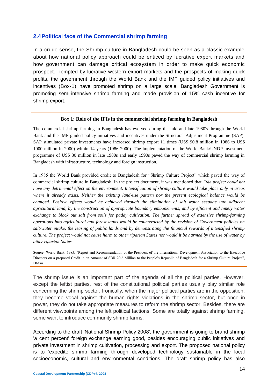#### **2.4Political face of the Commercial shrimp farming**

In a crude sense, the Shrimp culture in Bangladesh could be seen as a classic example about how national policy approach could be enticed by lucrative export markets and how government can damage critical ecosystem in order to make quick economic prospect. Tempted by lucrative western export markets and the prospects of making quick profits, the government through the World Bank and the IMF guided policy initiatives and incentives (Box-1) have promoted shrimp on a large scale. Bangladesh Government is promoting semi-intensive shrimp farming and made provision of 15% cash incentive for shrimp export.

#### **Box 1: Role of the IFIs in the commercial shrimp farming in Bangladesh**

The commercial shrimp farming in Bangladesh has evolved during the mid and late 1980's through the World Bank and the IMF guided policy initiatives and incentives under the Structural Adjustment Programme (SAP). SAP stimulated private investments have increased shrimp export 11 times (US\$ 90.8 million in 1986 to US\$ 1000 million in 2000) within 14 years (1986-2000). The implementation of the World Bank/UNDP investment programme of US\$ 30 million in late 1980s and early 1990s paved the way of commercial shrimp farming in Bangladesh with infrastructure, technology and foreign instruction.

In 1985 the World Bank provided credit to Bangladesh for "Shrimp Culture Project" which paved the way of commercial shrimp culture in Bangladesh. In the project document, it was mentioned that *"the project could not have any detrimental effect on the environment. Intensification of shrimp culture would take place only in areas where it already exists. Neither the existing land-use pattern nor the present ecological balance would be changed. Positive effects would be achieved through the elimination of salt water seepage into adjacent agricultural land, by the construction of appropriate boundary embankments, and by efficient and timely water exchange to block out salt from soils for paddy cultivation. The further spread of extensive shrimp-farming operations into agricultural and forest lands would be counteracted by the revision of Government policies on salt-water intake, the leasing of public lands and by demonstrating the financial rewards of intensified shrimp culture. The project would not cause harm to other riparian States nor would it be harmed by the use of water by other riparian States"*

Source: World Bank. 1985. "Report and Recommendation of the President of the International Development Association to the Executive Directors on a proposed Credit in an Amount of SDR 20.6 Million to the People's Republic of Bangladesh for a Shrimp Culture Project", Dhaka.

The shrimp issue is an important part of the agenda of all the political parties. However, except the leftist parties, rest of the constitutional political parties usually play similar role concerning the shrimp sector. Ironically, when the major political parties are in the opposition, they become vocal against the human rights violations in the shrimp sector, but once in power, they do not take appropriate measures to reform the shrimp sector. Besides, there are different viewpoints among the left political factions. Some are totally against shrimp farming, some want to introduce community shrimp farms.

According to the draft 'National Shrimp Policy 2008', the government is going to brand shrimp 'a cent percent' foreign exchange earning good, besides encouraging public initiatives and private investment in shrimp cultivation, processing and export. The proposed national policy is to 'expedite shrimp farming through developed technology sustainable in the local socioeconomic, cultural and environmental conditions. The draft shrimp policy has also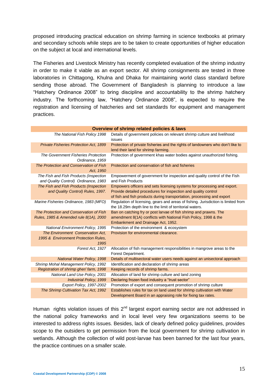proposed introducing practical education on shrimp farming in science textbooks at primary and secondary schools while steps are to be taken to create opportunities of higher education on the subject at local and international levels.

The Fisheries and Livestock Ministry has recently completed evaluation of the shrimp industry in order to make it viable as an export sector. All shrimp consignments are tested in three laboratories in Chittagong, Khulna and Dhaka for maintaining world class standard before sending those abroad. The Government of Bangladesh is planning to introduce a law "Hatchery Ordinance 2008" to bring discipline and accountability to the shrimp hatchery industry. The forthcoming law, "Hatchery Ordinance 2008", is expected to require the registration and licensing of hatcheries and set standards for equipment and management practices.

**Overview of shrimp related policies & laws**

| The National Fish Policy 1998                                                  | Details of government policies on relevant shrimp culture and livelihood<br>issues                                                                                                                                  |
|--------------------------------------------------------------------------------|---------------------------------------------------------------------------------------------------------------------------------------------------------------------------------------------------------------------|
| <b>Private Fisheries Protection Act, 1899</b>                                  | Protection of private fisheries and the rights of landowners who don't like to<br>lend their land for shrimp farming.                                                                                               |
| The Government Fisheries Protection<br>Ordinance, 1959                         | Protection of government khas water bodies against unauthorized fishing.                                                                                                                                            |
| The Protection and Conservation of Fish<br>Act. 1950                           | Protection and conservation of fish and fisheries                                                                                                                                                                   |
| The Fish and Fish Products (Inspection<br>and Quality Control) Ordinance, 1983 | Empowerment of government for inspection and quality control of the Fish<br>and Fish Products                                                                                                                       |
| The Fish and Fish Products (Inspection<br>and Quality Control) Rules, 1997.    | Empowers officers and sets licensing systems for processing and export.<br>Provide detailed procedures for inspection and quality control<br>of fish and fish products during transportation, processing and export |
| Marine Fisheries Ordinance, 1983 (MFO)                                         | Regulation of licensing, gears and areas of fishing. Jurisdiction is limited from<br>the 18.29m depth line to the limit of territorial waters.                                                                      |
| The Protection and Conservation of Fish                                        | Ban on catching fry or post larvae of fish shrimp and prawns. The                                                                                                                                                   |
| Rules, 1985 & Amended rule 8(1A), 2000                                         | amendment 8(1A) conflicts with National Fish Policy, 1998 & the<br>Embankment and Drainage Act, 1952.                                                                                                               |
| <b>National Environment Policy, 1995</b>                                       | Protection of the environment & ecosystem                                                                                                                                                                           |
| The Environment Conservation Act.                                              | Provision for environmental clearance.                                                                                                                                                                              |
| 1995 & Environment Protection Rules,<br>1995                                   |                                                                                                                                                                                                                     |
| Forest Act, 1927                                                               | Allocation of fish management responsibilities in mangrove areas to the<br>Forest Department.                                                                                                                       |
| <b>National Water Policy, 1998</b>                                             | Details of multisectoral water users needs against an unisectoral approach                                                                                                                                          |
| Shrimp Mohal Management Policy, 1992                                           | Identification and declaration of shrimp areas                                                                                                                                                                      |
| Registration of shrimp gher/farm, 1998                                         | Keeping records of shrimp farms.                                                                                                                                                                                    |
| National Land Use Policy, 2001                                                 | Allocation of land for shrimp culture and land zoning                                                                                                                                                               |
| <b>Industrial Policy, 1999</b>                                                 | Declaring frozen food industry a "trust sector"                                                                                                                                                                     |
| Export Policy, 1997-2002                                                       | Promotion of export and consequent promotion of shrimp culture                                                                                                                                                      |
| The Shrimp Cultivation Tax Act, 1992                                           | Establishes rules for tax on land used for shrimp cultivation with Water                                                                                                                                            |
|                                                                                | Development Board in an appraising role for fixing tax rates.                                                                                                                                                       |

# Human rights violation issues of this  $2<sup>nd</sup>$  largest export earning sector are not addressed in the national policy frameworks and in local level very few organizations seems to be interested to address rights issues. Besides, lack of clearly defined policy guidelines, provides scope to the outsiders to get permission from the local government for shrimp cultivation in wetlands. Although the collection of wild post-larvae has been banned for the last four years, the practice continues on a smaller scale.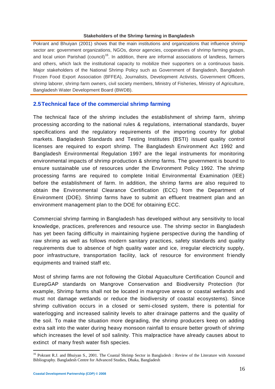#### **Stakeholders of the Shrimp farming in Bangladesh**

Pokrant and Bhuiyan (2001) shows that the main institutions and organizations that influence shrimp sector are: government organizations, NGOs, donor agencies, cooperatives of shrimp farming groups, and local union Parishad (council)<sup>16</sup>. In addition, there are informal associations of landless, farmers and others, which lack the institutional capacity to mobilize their supporters on a continuous basis. Major stakeholders of the National Shrimp Policy such as Government of Bangladesh, Bangladesh Frozen Food Export Association (BFFEA), Journalists, Development Activists, Government Officers, shrimp laborer, shrimp farm owners, civil society members, Ministry of Fisheries, Ministry of Agriculture, Bangladesh Water Development Board (BWDB).

### **2.5Technical face of the commercial shrimp farming**

The technical face of the shrimp includes the establishment of shrimp farm, shrimp processing according to the national rules & regulations, international standards, buyer specifications and the regulatory requirements of the importing country for global markets. Bangladesh Standards and Testing Institutes (BSTI) issued quality control licenses are required to export shrimp. The Bangladesh Environment Act 1992 and Bangladesh Environmental Regulation 1997 are the legal instruments for monitoring environmental impacts of shrimp production & shrimp farms. The government is bound to ensure sustainable use of resources under the Environment Policy 1992. The shrimp processing farms are required to complete Initial Environmental Examination (IEE) before the establishment of farm. In addition, the shrimp farms are also required to obtain the Environmental Clearance Certification (ECC) from the Department of Environment (DOE). Shrimp farms have to submit an effluent treatment plan and an environment management plan to the DOE for obtaining ECC.

Commercial shrimp farming in Bangladesh has developed without any sensitivity to local knowledge, practices, preferences and resource use. The shrimp sector in Bangladesh has yet been facing difficulty in maintaining hygiene perspective during the handling of raw shrimp as well as follows modern sanitary practices, safety standards and quality requirements due to absence of high quality water and ice, irregular electricity supply, poor infrastructure, transportation facility, lack of resource for environment friendly equipments and trained staff etc.

Most of shrimp farms are not following the Global Aquaculture Certification Council and EurepGAP standards on Mangrove Conservation and Biodiversity Protection (for example, Shrimp farms shall not be located in mangrove areas or coastal wetlands and must not damage wetlands or reduce the biodiversity of coastal ecosystems). Since shrimp cultivation occurs in a closed or semi-closed system, there is potential for waterlogging and increased salinity levels to alter drainage patterns and the quality of the soil. To make the situation more degrading, the shrimp producers keep on adding extra salt into the water during heavy monsoon rainfall to ensure better growth of shrimp which increases the level of soil salinity. This malpractice have already causes about to extinct of many fresh water fish species.

<sup>&</sup>lt;sup>16</sup> Pokrant R.J. and Bhuiyan S., 2001. The Coastal Shrimp Sector in Bangladesh : Review of the Literature with Annotated Bibliography. Bangladesh Centre for Advanced Studies, Dhaka, Bangladesh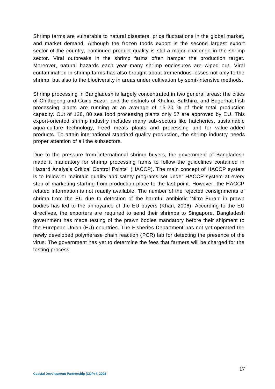Shrimp farms are vulnerable to natural disasters, price fluctuations in the global market, and market demand. Although the frozen foods export is the second largest export sector of the country, continued product quality is still a major challenge in the shrimp sector. Viral outbreaks in the shrimp farms often hamper the production target. Moreover, natural hazards each year many shrimp enclosures are wiped out. Viral contamination in shrimp farms has also brought about tremendous losses not only to the shrimp, but also to the biodiversity in areas under cultivation by semi-intensive methods.

Shrimp processing in Bangladesh is largely concentrated in two general areas: the cities of Chittagong and Cox's Bazar, and the districts of Khulna, Satkhira, and Bagerhat.Fish processing plants are running at an average of 15-20 % of their total production capacity. Out of 128, 80 sea food processing plants only 57 are approved by EU. This export-oriented shrimp industry includes many sub-sectors like hatcheries, sustainable aqua-culture technology, Feed meals plants and processing unit for value-added products. To attain international standard quality production, the shrimp industry needs proper attention of all the subsectors.

Due to the pressure from international shrimp buyers, the government of Bangladesh made it mandatory for shrimp processing farms to follow the guidelines contained in Hazard Analysis Critical Control Points" (HACCP). The main concept of HACCP system is to follow or maintain quality and safety programs set under HACCP system at every step of marketing starting from production place to the last point. However, the HACCP related information is not readily available. The number of the rejected consignments of shrimp from the EU due to detection of the harmful antibiotic 'Nitro Furan' in prawn bodies has led to the annoyance of the EU buyers (Khan, 2006). According to the EU directives, the exporters are required to send their shrimps to Singapore. Bangladesh government has made testing of the prawn bodies mandatory before their shipment to the European Union (EU) countries. The Fisheries Department has not yet operated the newly developed polymerase chain reaction (PCR) lab for detecting the presence of the virus. The government has yet to determine the fees that farmers will be charged for the testing process.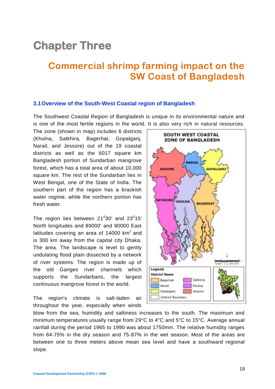# **Chapter Three**

# **Commercial shrimp farming impact on the SW Coast of Bangladesh**

#### **3.1Overview of the South-West Coastal region of Bangladesh**

The Southwest Coastal Region of Bangladesh is unique in its environmental nature and is one of the most fertile regions in the world. It is also very rich in natural resources.

The zone (shown in map) includes 6 districts (Khulna, Satkhira, Bagerhat, Gopalganj, Narail, and Jessore) out of the 19 coastal districts as well as the 6017 square km Bangladesh portion of Sundarban mangrove forest, which has a total area of about 10,000 square km. The rest of the Sundarban lies in West Bengal, one of the State of India. The southern part of the region has a brackish water regime, while the northern portion has fresh water.

The region lies between  $21^{\circ}30'$  and  $23^{\circ}15'$ North longitudes and 89000' and 90000 East latitudes covering an area of 14000  $km^2$  and is 300 km away from the capital city Dhaka. The area. The landscape is level to gently undulating flood plain dissected by a network of river systems. The region is made up of the old Ganges river channels which supports the Sundarbans, the largest continuous mangrove forest in the world.

The region's climate is salt-laden air throughout the year, especially when winds



blow from the sea, humidity and saltiness increases to the south. The maximum and minimum temperatures usually range from 29°C to 4°C and 5°C to 15°C. Average annual rainfall during the period 1965 to 1990 was about 1750mm. The relative humidity ranges from 64-75% in the dry season and 75-87% in the wet season. Most of the areas are between one to three meters above mean sea level and have a southward regional slope.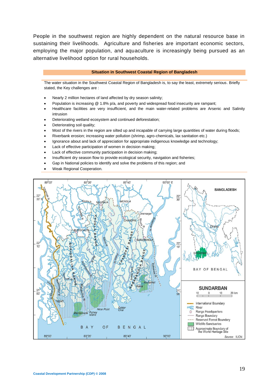People in the southwest region are highly dependent on the natural resource base in sustaining their livelihoods. Agriculture and fisheries are important economic sectors, employing the major population, and aquaculture is increasingly being pursued as an alternative livelihood option for rural households.

#### **Situation in Southwest Coastal Region of Bangladesh**

The water situation in the Southwest Coastal Region of Bangladesh is, to say the least, extremely serious. Briefly stated, the Key challenges are :

- Nearly 2 million hectares of land affected by dry season salinity;
- Population is increasing @ 1.8% p/a, and poverty and widespread food insecurity are rampant;
- Healthcare facilities are very insufficient, and the main water-related problems are Arsenic and Salinity intrusion
- Deteriorating wetland ecosystem and continued deforestation;
- Deteriorating soil quality;
- Most of the rivers in the region are silted up and incapable of carrying large quantities of water during floods;
- Riverbank erosion; increasing water pollution (shrimp, agro-chemicals, lax sanitation etc.)
- Ignorance about and lack of appreciation for appropriate indigenous knowledge and technology;
- Lack of effective participation of women in decision making;
- Lack of effective community participation in decision making;
- Insufficient dry season flow to provide ecological security, navigation and fisheries;
- Gap in National policies to identify and solve the problems of this region; and
- Weak Regional Cooperation.

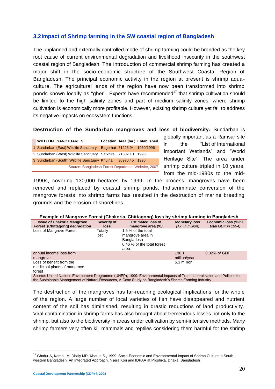# **3.2Impact of Shrimp farming in the SW coastal region of Bangladesh**

The unplanned and externally controlled mode of shrimp farming could be branded as the key root cause of current environmental degradation and livelihood insecurity in the southwest coastal region of Bangladesh. The introduction of commercial shrimp farming has created a major shift in the socio-economic structure of the Southwest Coastal Region of Bangladesh. The principal economic activity in the region at present is shrimp aquaculture. The agricultural lands of the region have now been transformed into shrimp ponds known locally as "gher". Experts have recommended<sup>17</sup> that shrimp cultivation should be limited to the high salinity zones and part of medium salinity zones, where shrimp cultivation is economically more profitable. However, existing shrimp culture yet fail to address its negative impacts on ecosystem functions.

**Destruction of the Sundarban mangroves and loss of biodiversity:** Sundarban is

| <b>WILD LIFE SANCTUARIES</b>                            |               | Location Area (ha.) Established |
|---------------------------------------------------------|---------------|---------------------------------|
| 1 Sundarban (East) Wildlife Sanctuary                   |               | Bagerhat 31226.94 1960/1996     |
| 2 Sundarban (West) Wildlife Sanctuary Satkhira 71502.10 |               | 1996                            |
| 3 Sundarban (South) Wildlife Sanctuary Khulna           | 36970.45 1996 |                                 |
| Source: Bangladesh Forest Department Website, 2007      |               |                                 |

globally important as a Ramsar site in the "List of International Important Wetlands" and "World Heritage Site". The area under shrimp culture tripled in 10 years, from the mid-1980s to the mid-

1990s, covering 130,000 hectares by 1999. In the process, mangroves have been removed and replaced by coastal shrimp ponds. Indiscriminate conversion of the mangrove forests into shrimp farms has resulted in the destruction of marine breeding grounds and the erosion of shorelines.

| Example of Mangrove Forest (Chakoria, Chittagong) loss by shrimp farming in Bangladesh                                                                                                                                                                                                                   |                            |                                                                                            |                                          |                                           |  |  |
|----------------------------------------------------------------------------------------------------------------------------------------------------------------------------------------------------------------------------------------------------------------------------------------------------------|----------------------------|--------------------------------------------------------------------------------------------|------------------------------------------|-------------------------------------------|--|--|
| <b>Issue of Chakoria Mangrove</b><br>Forest (Chittagong) degradation                                                                                                                                                                                                                                     | Severity of<br><b>loss</b> | <b>Estimated loss of</b><br>mangrove area $(\%)$                                           | <b>Monetary loss</b><br>(Tk. In million) | Economic loss (%the<br>total GDP in 1994) |  |  |
| Loss of Mangrove Forest                                                                                                                                                                                                                                                                                  | Totally<br>lost            | 1.5 % of the total<br>mangrove area in<br>Bangladesh<br>0.46 % of the total forest<br>area |                                          |                                           |  |  |
| annual income loss from<br>mangrove                                                                                                                                                                                                                                                                      |                            |                                                                                            | 196.1<br>million/year                    | 0.02% of GDP                              |  |  |
| Loss of benefit from the<br>medicinal plants of mangrove<br>forest<br>$\bullet$ if the state of the state of the state of the state of the state of the state of the state of the state of the state of the state of the state of the state of the state of the state of the state of the state of the s |                            |                                                                                            | 5.3 million                              |                                           |  |  |

Source: United Nations Environment Programme (UNEP), 1999: Environmental Impacts of Trade Liberalization and Policies for the Sustainable Management of Natural Resources, A Case Study on Bangladesh's Shrimp Farming Industry

The destruction of the mangroves has far-reaching ecological implications for the whole of the region. A large number of local varieties of fish have disappeared and nutrient content of the soil has diminished, resulting in drastic reductions of land productivity. Viral contamination in shrimp farms has also brought about tremendous losses not only to the shrimp, but also to the biodiversity in areas under cultivation by semi-intensive methods. Many shrimp farmers very often kill mammals and reptiles considering them harmful for the shrimp

<sup>&</sup>lt;sup>17</sup> Ghafur A, Kamal, M. Dhaly MR, Khatun S., 1999. Socio-Economic and Environmental Impact of Shrimp Culture in Southwestern Bangladesh: An Integrated Approach, Nijera Kori and IDPAA at Proshika, Dhaka, Bangladesh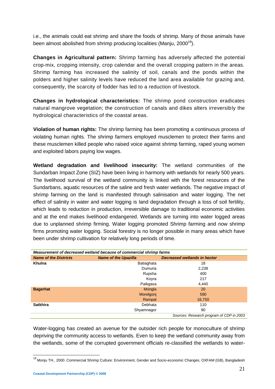i.e., the animals could eat shrimp and share the foods of shrimp. Many of those animals have been almost abolished from shrimp producing localities (Manju,  $2000^{18}$ ).

**Changes in Agricultural pattern:** Shrimp farming has adversely affected the potential crop-mix, cropping intensity, crop calendar and the overall cropping pattern in the areas. Shrimp farming has increased the salinity of soil, canals and the ponds within the polders and higher salinity levels have reduced the land area available for grazing and, consequently, the scarcity of fodder has led to a reduction of livestock.

**Changes in hydrological characteristics:** The shrimp pond construction eradicates natural mangrove vegetation; the construction of canals and dikes alters irreversibly the hydrological characteristics of the coastal areas.

**Violation of human rights:** The shrimp farming has been promoting a continuous process of violating human rights. The shrimp farmers employed musclemen to protect their farms and these musclemen killed people who raised voice against shrimp farming, raped young women and exploited labors paying low wages.

**Wetland degradation and livelihood insecurity:** The wetland communities of the Sundarban Impact Zone (SIZ) have been living in harmony with wetlands for nearly 500 years. The livelihood survival of the wetland community is linked with the forest resources of the Sundarbans, aquatic resources of the saline and fresh water wetlands. The negative impact of shrimp farming on the land is manifested through salinisation and water logging. The net effect of salinity in water and water logging is land degradation through a loss of soil fertility, which leads to reduction in production, irreversible damage to traditional economic activities and at the end makes livelihood endangered. Wetlands are turning into water logged areas due to unplanned shrimp firming. Water logging promoted Shrimp farming and now shrimp firms promoting water logging. Social forestry is no longer possible in many areas which have been under shrimp cultivation for relatively long periods of time.

| Measurement of decreased wetland because of commercial shrimp farms |                             |                                          |  |  |  |
|---------------------------------------------------------------------|-----------------------------|------------------------------------------|--|--|--|
| <b>Name of the Districts</b>                                        | <b>Name of the Upazilla</b> | Decreased wetlands in hector             |  |  |  |
| Khulna                                                              | Batiaghata                  | 18                                       |  |  |  |
|                                                                     | Dumuria                     | 2,238                                    |  |  |  |
|                                                                     | Rupsha                      | 400                                      |  |  |  |
|                                                                     | Koyra                       | 217                                      |  |  |  |
|                                                                     | Paikgasa                    | 4,440                                    |  |  |  |
| <b>Bagerhat</b>                                                     | Mongla                      | 20                                       |  |  |  |
|                                                                     | Morelgonj                   | 590                                      |  |  |  |
|                                                                     | Rampal                      | 16,750                                   |  |  |  |
| <b>Satkhira</b>                                                     | Debhata                     | 110                                      |  |  |  |
|                                                                     | Shyamnagor                  | 90                                       |  |  |  |
|                                                                     |                             | Sources: Research program of CDP in 2003 |  |  |  |

Water-logging has created an avenue for the outsider rich people for monoculture of shrimp depriving the community access to wetlands. Even to keep the wetland community away from the wetlands, some of the corrupted government officials re-classified the wetlands to water-

 $\overline{a}$ <sup>18</sup> Monju TH., 2000. Commercial Shrimp Culture: Environment, Gender and Socio-economic Changes, OXFAM (GB), Bangladesh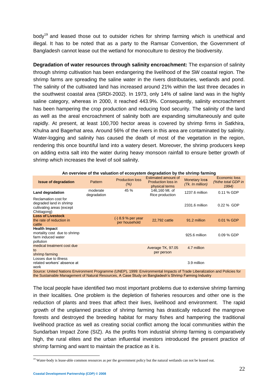body<sup>19</sup> and leased those out to outsider riches for shrimp farming which is unethical and illegal. It has to be noted that as a party to the Ramsar Convention, the Government of Bangladesh cannot lease out the wetland for monoculture to destroy the biodiversity.

**Degradation of water resources through salinity encroachment:** The expansion of salinity through shrimp cultivation has been endangering the livelihood of the SW coastal region. The shrimp farms are spreading the saline water in the rivers distributaries, wetlands and pond. The salinity of the cultivated land has increased around 21% within the last three decades in the southwest coastal area (SRDI-2002). In 1973, only 14% of saline land was in the highly saline category, whereas in 2000, it reached 443.9%. Consequently, salinity encroachment has been hampering the crop production and reducing food security. The salinity of the land as well as the areal encroachment of salinity both are expanding simultaneously and quite rapidly. At present, at least 100,700 hector areas is covered by shrimp firms in Satkhira, Khulna and Bagerhat area. Around 56% of the rivers in this area are contaminated by salinity. Water-logging and salinity has caused the death of most of the vegetation in the region, rendering this once bountiful land into a watery desert. Moreover, the shrimp producers keep on adding extra salt into the water during heavy monsoon rainfall to ensure better growth of shrimp which increases the level of soil salinity.

| <b>Issue of degradation</b>                                                                 | Pattern                 | <b>Production loss</b><br>(% )        | Estimated amount of<br>Production loss in<br>physical terms | <b>Monetary loss</b><br>(Tk. In million) | Economic loss<br>(%the total GDP in<br>1994) |
|---------------------------------------------------------------------------------------------|-------------------------|---------------------------------------|-------------------------------------------------------------|------------------------------------------|----------------------------------------------|
| Land degradation                                                                            | moderate<br>degradation | 45 %                                  | 146,160 Mt. of<br>Rice production                           | 1237.6 million                           | 0.11 % GDP                                   |
| Reclamation cost for<br>degraded land in shrimp<br>cultivating areas (except<br>Chittagong) |                         |                                       |                                                             | 2331.6 million                           | 0.22 % GDP                                   |
| <b>Loss of Livestock</b><br>the rate of reduction in<br>cattle                              |                         | $(-) 8.9 %$ per year<br>per household | 22.792 cattle                                               | 91.2 million                             | 0.01 % GDP                                   |
| <b>Health Impact</b><br>mortality cost due to shrimp<br>farm induced water<br>pollution     |                         |                                       |                                                             | 925.6 million                            | 0.09 % GDP                                   |
| medical treatment cost due<br>to<br>shrimp farming                                          |                         |                                       | Average TK, 97.05<br>per person                             | 4.7 million                              |                                              |
| Losses due to illness<br>related workers' absence at<br>work                                |                         |                                       |                                                             | 3.9 million                              |                                              |

**An overview of the valuation of ecosystem degradation by the shrimp farming**

Source: United Nations Environment Programme (UNEP), 1999: Environmental Impacts of Trade Liberalization and Policies for the Sustainable Management of Natural Resources, A Case Study on Bangladesh's Shrimp Farming Industry

The local people have identified two most important problems due to extensive shrimp farming in their localities. One problem is the depletion of fisheries resources and other one is the reduction of plants and trees that affect their lives, livelihood and environment. The rapid growth of the unplanned practice of shrimp farming has drastically reduced the mangrove forests and destroyed the breeding habitat for many fishes and hampering the traditional livelihood practice as well as creating social conflict among the local communities within the Sundarban Impact Zone (SIZ). As the profits from industrial shrimp farming is comparatively high, the rural elites and the urban influential investors introduced the present practice of shrimp farming and want to maintain the practice as it is.

 $\overline{a}$ 

<sup>&</sup>lt;sup>19</sup> Water-body is lease-able common resources as per the government policy but the natural wetlands can not be leased out.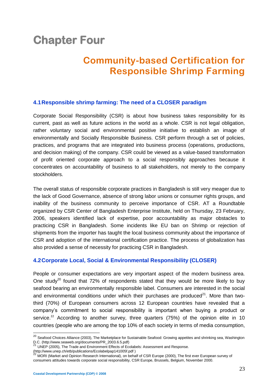# **Chapter Four**

# **Community-based Certification for Responsible Shrimp Farming**

# **4.1Responsible shrimp farming: The need of a CLOSER paradigm**

Corporate Social Responsibility (CSR) is about how business takes responsibility for its current, past as well as future actions in the world as a whole. CSR is not legal obligation, rather voluntary social and environmental positive initiative to establish an image of environmentally and Socially Responsible Business. CSR perform through a set of policies, practices, and programs that are integrated into business process (operations, productions, and decision making) of the company. CSR could be viewed as a value-based transformation of profit oriented corporate approach to a social responsibly approaches because it concentrates on accountability of business to all stakeholders, not merely to the company stockholders.

The overall status of responsible corporate practices in Bangladesh is still very meager due to the lack of Good Governance, absence of strong labor unions or consumer rights groups, and inability of the business community to perceive importance of CSR. AT a Roundtable organized by CSR Center of Bangladesh Enterprise Institute, held on Thursday, 23 February, 2006, speakers identified lack of expertise, poor accountability as major obstacles to practicing CSR in Bangladesh. Some incidents like EU ban on Shrimp or rejection of shipments from the importer has taught the local business community about the importance of CSR and adoption of the international certification practice. The process of globalization has also provided a sense of necessity for practicing CSR in Bangladesh.

# **4.2Corporate Local, Social & Environmental Responsibility (CLOSER)**

People or consumer expectations are very important aspect of the modern business area. One study<sup>20</sup> found that 72% of respondents stated that they would be more likely to buy seafood bearing an environmentally responsible label. Consumers are interested in the social and environmental conditions under which their purchases are produced $21$ . More than twothird (70%) of European consumers across 12 European countries have revealed that a company's commitment to social responsibility is important when buying a product or service.<sup>22</sup> According to another survey, three quarters (75%) of the opinion elite in 10 countries (people who are among the top 10% of each society in terms of media consumption,

 $\overline{\phantom{a}}$ 

<sup>&</sup>lt;sup>20</sup> Seafood Choices Alliance (2003), The Marketplace for Sustainable Seafood: Growing appetites and shrinking sea, Washington D.C. (http://www.seaweb.org/documents/PR\_2003.6.5.pdf)

<sup>21</sup> UNEP (2005), The Trade and Environment Effects of Ecolabels: Assessment and Response.

<sup>(</sup>http://www.unep.ch/etb/publications/Ecolabelpap141005f.pdf )

<sup>22</sup> MORI (Market and Opinion Research International), on behalf of CSR Europe (2000), The first ever European survey of consumers attitudes towards corporate social responsibility, CSR Europe, Brussels, Belgium, November 2000.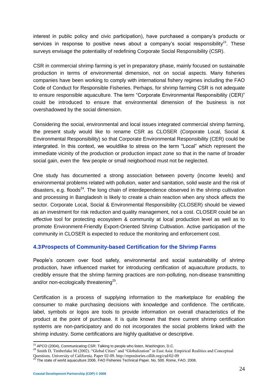interest in public policy and civic participation), have purchased a company's products or services in response to positive news about a company's social responsibility<sup>23</sup>. These surveys envisage the potentiality of redefining Corporate Social Responsibility (CSR).

CSR in commercial shrimp farming is yet in preparatory phase, mainly focused on sustainable production in terms of environmental dimension, not on social aspects. Many fisheries companies have been working to comply with international fishery regimes including the FAO Code of Conduct for Responsible Fisheries. Perhaps, for shrimp farming CSR is not adequate to ensure responsible aquaculture. The term "Corporate Environmental Responsibility (CER)" could be introduced to ensure that environmental dimension of the business is not overshadowed by the social dimension.

Considering the social, environmental and local issues integrated commercial shrimp farming, the present study would like to rename CSR as CLOSER (Corporate Local, Social & Environmental Responsibility) so that Corporate Environmental Responsibility (CER) could be intergrated. In this context, we wouldlike to stress on the term "Local" which represent the immediate vicinity of the production or production impact zone so that in the name of broader social gain, even the few people or small neigborhood must not be neglected.

One study has documented a strong association between poverty (income levels) and environmental problems related with pollution, water and sanitation, solid waste and the risk of disasters, e.g. floods<sup>24</sup>. The long chain of interdependence observed in the shrimp cultivation and processing in Bangladesh is likely to create a chain reaction when any shock affects the sector. Corporate Local, Social & Environmental Responsibility (CLOSER) should be viewed as an investment for risk reduction and quality management, not a cost. CLOSER could be an effective tool for protecting ecosystem & community at local production level as well as to promote Environment-Friendly Export-Oriented Shrimp Cultivation. Active participation of the community in CLOSER is expected to reduce the monitoring and enforcement cost.

# **4.3Prospects of Community-based Certification for the Shrimp Farms**

People's concern over food safety, environmental and social sustainability of shrimp production, have influenced market for introducing certification of aquaculture products, to credibly ensure that the shrimp farming practices are non-polluting, non-disease transmitting and/or non-ecologically threatening<sup>25</sup>.

Certification is a process of supplying information to the marketplace for enabling the consumer to make purchasing decisions with knowledge and confidence. The certificate, label, symbols or logos are tools to provide information on overall characteristics of the product at the point of purchase. It is quite known that there current shrimp certification systems are non-participatory and do not incorporates the social problems linked with the shrimp industry. Some certifications are highly qualitative or descriptive.

**<sup>.</sup>**  $^{23}$  APCO (2004), Communicating CSR: Talking to people who listen, Washington, D.C.

<sup>&</sup>lt;sup>24</sup> Smith D, Timberlake M (2002). "Global Cities" and "Globalization" in East Asia: Empirical Realities and Conceptual Questions. University of California. Paper 02-09. http://repositories.cdlib.org/csd/02-09

 $^{25}$  The state of world aquaculture 2006. FAO Fisheries Technical Paper. No. 500. Rome, FAO. 2006.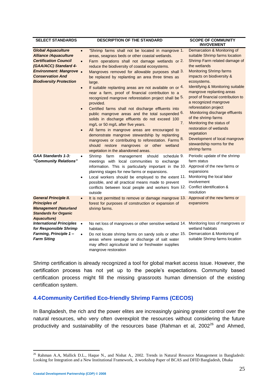| <b>SELECT STANDARDS</b>                                                                                                                                                                                           | <b>DESCRIPTION OF THE STANDARD</b>                                                                                                                                                                                                                                                                                                                                                                                                                                                                                                                                                                                                                                                                                                                                                                                                                                                                                                                                                                                                        | <b>SCOPE OF COMMUNITY</b><br><b>INVOVEMENT</b>                                                                                                                                                                                                                                                                                                                                                                                                                                                                                                                                |
|-------------------------------------------------------------------------------------------------------------------------------------------------------------------------------------------------------------------|-------------------------------------------------------------------------------------------------------------------------------------------------------------------------------------------------------------------------------------------------------------------------------------------------------------------------------------------------------------------------------------------------------------------------------------------------------------------------------------------------------------------------------------------------------------------------------------------------------------------------------------------------------------------------------------------------------------------------------------------------------------------------------------------------------------------------------------------------------------------------------------------------------------------------------------------------------------------------------------------------------------------------------------------|-------------------------------------------------------------------------------------------------------------------------------------------------------------------------------------------------------------------------------------------------------------------------------------------------------------------------------------------------------------------------------------------------------------------------------------------------------------------------------------------------------------------------------------------------------------------------------|
| <b>Global Aquaculture</b><br><b>Alliance /Aquaculture</b><br><b>Certification Council</b><br>(GAA/ACC) Standard 4-<br><b>Environment: Mangrove .</b><br><b>Conservation And</b><br><b>Biodiversity Protection</b> | "Shrimp farms shall not be located in mangrove 1.<br>$\bullet$<br>areas, seagrass beds or other coastal wetlands.<br>Farm operations shall not damage wetlands or 2.<br>$\bullet$<br>reduce the biodiversity of coastal ecosystems.<br>Mangroves removed for allowable purposes shall 3.<br>be replaced by replanting an area three times as<br>large.<br>If suitable replanting areas are not available on or 4.<br>$\bullet$<br>near a farm, proof of financial contribution to a<br>recognized mangrove reforestation project shall be 5.<br>provided.<br>Certified farms shall not discharge effluents into<br>$\bullet$<br>public mangrove areas and the total suspended 6.<br>solids in discharge effluents do not exceed 100<br>7.<br>mg/L or 50 mg/L after five years.<br>All farms in mangrove areas are encouraged to<br>$\bullet$<br>demonstrate mangrove stewardship by replanting<br>mangroves or contributing to reforestation. Farms 8.<br>should restore mangroves or other wetland<br>vegetation in the abandoned areas. | Demarcation & Monitoring of<br>suitable Shrimp farms location<br>Shrimp Farm related damage of<br>the wetlands<br><b>Monitoring Shrimp farms</b><br>impacts on biodiversity &<br>ecosystems.<br><b>Identifying &amp; Monitoring suitable</b><br>mangrove replanting areas<br>proof of financial contribution to<br>a recognized mangrove<br>reforestation project<br>Monitoring discharge effluents<br>of the shrimp farms<br>Monitoring the status of<br>restoration of wetlands<br>vegetation<br>Development of local mangrove<br>stewardship norms for the<br>shrimp farms |
| <b>GAA Standards 1-3:</b><br>"Community Relations"<br><b>General Principle II.</b><br><b>Principles of</b>                                                                                                        | Shrimp<br>schedule 9.<br>farm<br>management should<br>$\bullet$<br>meetings with local communities to exchange<br>information. This is particularly important in the 10. Approval of the new farms or<br>planning stages for new farms or expansions.<br>Local workers should be employed to the extent 11.<br>$\bullet$<br>possible, and all practical means made to prevent<br>conflicts between local people and workers from 12.<br>outside<br>It is not permitted to remove or damage mangrove 13.<br>$\bullet$<br>forest for purposes of construction or expansion of                                                                                                                                                                                                                                                                                                                                                                                                                                                               | Periodic update of the shrimp<br>farm status<br>expansions<br>Monitoring the local labor<br>involvement<br>Conflict identification &<br>resolution<br>Approval of the new farms or<br>expansions                                                                                                                                                                                                                                                                                                                                                                              |
| <b>Management (Naturland</b><br><b>Standards for Organic</b><br>Aquaculture)                                                                                                                                      | shrimp farms.                                                                                                                                                                                                                                                                                                                                                                                                                                                                                                                                                                                                                                                                                                                                                                                                                                                                                                                                                                                                                             |                                                                                                                                                                                                                                                                                                                                                                                                                                                                                                                                                                               |
| <b>International Principles</b><br>for Responsible Shrimp<br>Farming, Principle 1-<br><b>Farm Siting</b>                                                                                                          | No net loss of mangroves or other sensitive wetland 14. Monitoring loss of mangroves or<br>$\bullet$<br>habitats.<br>Do not locate shrimp farms on sandy soils or other 15.<br>$\bullet$<br>areas where seepage or discharge of salt water<br>may affect agricultural land or freshwater supplies<br>mangrove restoration                                                                                                                                                                                                                                                                                                                                                                                                                                                                                                                                                                                                                                                                                                                 | wetland habitats<br>Demarcation & Monitoring of<br>suitable Shrimp farms location                                                                                                                                                                                                                                                                                                                                                                                                                                                                                             |

Shrimp certification is already recognized a tool for global market access issue. However, the certification process has not yet up to the people's expectations. Community based certification process might fill the missing grassroots human dimension of the existing certification system.

### **4.4Community Certified Eco-friendly Shrimp Farms (CECOS)**

In Bangladesh, the rich and the power elites are increasingly gaining greater control over the natural resources, who very often overexploit the resources without considering the future productivity and sustainability of the resources base (Rahman et al,  $2002^{26}$  and Ahmed,

<sup>&</sup>lt;sup>26</sup> Rahman A.A, Mallick D.L., Haque N., and Nishat A., 2002. Trends in Natural Resource Management in Bangladesh: Looking for Integration and a New Institutional Framework, A workshop Paper of BCAS and DFID Bangladesh, Dhaka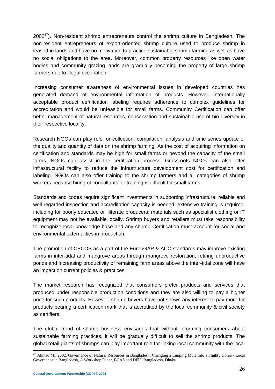$2002^{27}$ ). Non-resident shrimp entrepreneurs control the shrimp culture in Bangladesh. The non-resident entrepreneurs of export-oriented shrimp culture used to produce shrimp in leased-in lands and have no motivation to practice sustainable shrimp farming as well as have no social obligations to the area. Moreover, common property resources like open water bodies and community grazing lands are gradually becoming the property of large shrimp farmers due to illegal occupation.

Increasing consumer awareness of environmental issues in developed countries has generated demand of environmental information of products. However, internationally acceptable product certification labeling requires adherence to complex guidelines for accreditation and would be unfeasible for small farms. Community Certification can offer better management of natural resources, conservation and sustainable use of bio-diversity in their respective locality.

Research NGOs can play role for collection, compilation, analysis and time series update of the quality and quantity of data on the shrimp farming. As the cost of acquiring information on certification and standards may be high for small farms or beyond the capacity of the small farms, NGOs can assist in the certification process. Grassroots NGOs can also offer infrastructural facility to reduce the infrastructure development cost for certification and labeling. NGOs can also offer training to the shrimp farmers and all categories of shrimp workers because hiring of consultants for training is difficult for small farms.

Standards and codes require significant investments in supporting infrastructure: reliable and well-regarded inspection and accreditation capacity is needed; extensive training is required, including for poorly educated or illiterate producers; materials such as specialist clothing or IT equipment may not be available locally. Shrimp buyers and retailers must take responsibility to recognize local knowledge base and any shrimp Certification must account for social and environmental externalities in production.

The promotion of CECOS as a part of the EurepGAP & ACC standards may improve existing farms in inter-tidal and mangrove areas through mangrove restoration, retiring unproductive ponds and increasing productivity of remaining farm areas above the inter-tidal zone will have an impact on current policies & practices.

The market research has recognized that consumers prefer products and services that produced under responsible production conditions and they are also willing to pay a higher price for such products. However, shrimp buyers have not shown any interest to pay more for products bearing a certification mark that is accredited by the local community & civil society as certifiers.

The global trend of shrimp business envisages that without informing consumers about sustainable farming practices, it will be gradually difficult to sell the shrimp products. The global retail giants of shrimps can play important role for linking local community with the local

<sup>&</sup>lt;sup>27</sup> Ahmad M., 2002. Governance of Natural Resources in Bangladesh: Changing a Limping Mule into a Flighty Horse - Local Governance in Bangladesh, A Workshop Paper, BCAS and DFID Bangladesh, Dhaka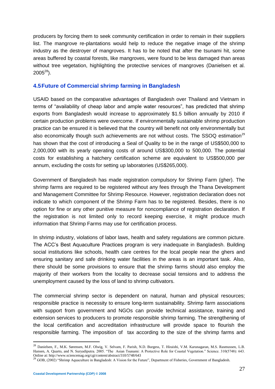producers by forcing them to seek community certification in order to remain in their suppliers list. The mangrove re-plantations would help to reduce the negative image of the shrimp industry as the destroyer of mangroves. It has to be noted that after the tsunami hit, some areas buffered by coastal forests, like mangroves, were found to be less damaged than areas without tree vegetation, highlighting the protective services of mangroves (Danielsen et al.  $2005^{28}$ ).

### **4.5Future of Commercial shrimp farming in Bangladesh**

USAID based on the comparative advantages of Bangladesh over Thailand and Vietnam in terms of "availability of cheap labor and ample water resources", has predicted that shrimp exports from Bangladesh would increase to approximately \$1.5 billion annually by 2010 if certain production problems were overcome. If environmentally sustainable shrimp production practice can be ensured it is believed that the country will benefit not only environmentally but also economically though such achievements are not without costs. The SSOQ estimation<sup>29</sup> has shown that the cost of introducing a Seal of Quality to be in the range of US\$500,000 to 2,000,000 with its yearly operating costs of around US\$300,000 to 500,000. The potential costs for establishing a hatchery certification scheme are equivalent to US\$500,000 per annum, excluding the costs for setting up laboratories (US\$265,000).

Government of Bangladesh has made registration compulsory for Shrimp Farm (gher). The shrimp farms are required to be registered without any fees through the Thana Development and Management Committee for Shrimp Resource. However, registration declaration does not indicate to which component of the Shrimp Farm has to be registered. Besides, there is no option for fine or any other punitive measure for noncompliance of registration declaration. If the registration is not limited only to record keeping exercise, it might produce much information that Shrimp Farms may use for certification process.

In shrimp industry, violations of labor laws, health and safety regulations are common picture. The ACC's Best Aquaculture Practices program is very inadequate in Bangladesh. Building social institutions like schools, health care centres for the local people near the ghers and ensuring sanitary and safe drinking water facilities in the areas is an important task. Also, there should be some provisions to ensure that the shrimp farms should also employ the majority of their workers from the locality to decrease social tensions and to address the unemployment caused by the loss of land to shrimp cultivators.

The commercial shrimp sector is dependent on natural, human and physical resources; responsible practice is necessity to ensure long-term sustainability. Shrimp farm associations with support from government and NGOs can provide technical assistance, training and extension services to producers to promote responsible shrimp farming. The strengthening of the local certification and accreditation infrastructure will provide space to flourish the responsible farming. The imposition of tax according to the size of the shrimp farms and

 $\overline{a}$ 

<sup>&</sup>lt;sup>28</sup> Danielsen, F., M.K. Sørensen, M.F. Olwig, V. Selvam, F. Parish, N.D. Burgess, T. Hiraishi, V.M. Karunagaran, M.S. Rasmussen, L.B. Hansen, A. Quarto, and N. Suryadiputra. 2005. "The Asian Tsunami: A Protective Role for Coastal Vegetation." Science. 310(5748): 643.

Online at: http://www.sciencemag.org/cgi/content/abstract/310/5748/643<br><sup>29</sup> GOB, (2002) "Shrimp Aquaculture in Bangladesh: A Vision for the Future", Department of Fisheries, Government of Bangladesh.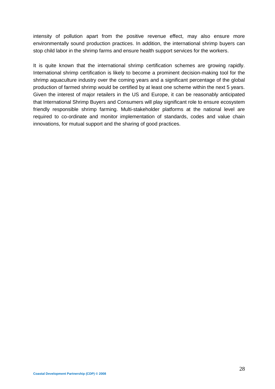intensity of pollution apart from the positive revenue effect, may also ensure more environmentally sound production practices. In addition, the international shrimp buyers can stop child labor in the shrimp farms and ensure health support services for the workers.

It is quite known that the international shrimp certification schemes are growing rapidly. International shrimp certification is likely to become a prominent decision-making tool for the shrimp aquaculture industry over the coming years and a significant percentage of the global production of farmed shrimp would be certified by at least one scheme within the next 5 years. Given the interest of major retailers in the US and Europe, it can be reasonably anticipated that International Shrimp Buyers and Consumers will play significant role to ensure ecosystem friendly responsible shrimp farming. Multi-stakeholder platforms at the national level are required to co-ordinate and monitor implementation of standards, codes and value chain innovations, for mutual support and the sharing of good practices.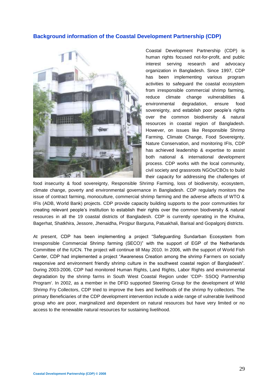### **Background information of the Coastal Development Partnership (CDP)**



Coastal Development Partnership (CDP) is human rights focused not-for-profit, and public interest serving research and advocacy organization in Bangladesh. Since 1997, CDP has been implementing various program activities to safeguard the coastal ecosystem from irresponsible commercial shrimp farming, reduce climate change vulnerabilities & environmental degradation, ensure food sovereignty, and establish poor people's rights over the common biodiversity & natural resources in coastal region of Bangladesh. However, on issues like Responsible Shrimp Farming, Climate Change, Food Sovereignty, Nature Conservation, and monitoring IFIs, CDP has achieved leadership & expertise to assist both national & international development process. CDP works with the local community, civil society and grassroots NGOs/CBOs to build their capacity for addressing the challenges of

food insecurity & food sovereignty, Responsible Shrimp Farming, loss of biodiversity, ecosystem, climate change, poverty and environmental governance in Bangladesh. CDP regularly monitors the issue of contract farming, monoculture, commercial shrimp farming and the adverse affects of WTO & IFIs (ADB, World Bank) projects. CDP provide capacity building supports to the poor communities for creating relevant people's institution to establish their rights over the common biodiversity & natural resources in all the 19 coastal districts of Bangladesh. CDP is currently operating in the Khulna, Bagerhat, Shatkhira, Jessore, Jhenaidha, Pirojpur Barguna, Patuakhali, Barisal and Gopalgonj districts.

At present, CDP has been implementing a project "Safeguarding Sundarban Ecosystem from Irresponsible Commercial Shrimp farming (SECO)" with the support of EGP of the Netherlands Committee of the IUCN. The project will continue till May 2010. In 2006, with the support of World Fish Center, CDP had implemented a project "Awareness Creation among the shrimp Farmers on socially responsive and environment friendly shrimp culture in the southwest coastal region of Bangladesh". During 2003-2006, CDP had monitored Human Rights, Land Rights, Labor Rights and environmental degradation by the shrimp farms in South West Coastal Region under 'CDP- SSOQ Partnership Program'. In 2002, as a member in the DFID supported Steering Group for the development of Wild Shrimp Fry Collectors, CDP tried to improve the lives and livelihoods of the shrimp fry collectors. The primary Beneficiaries of the CDP development intervention include a wide range of vulnerable livelihood group who are poor, marginalized and dependent on natural resources but have very limited or no access to the renewable natural resources for sustaining livelihood.